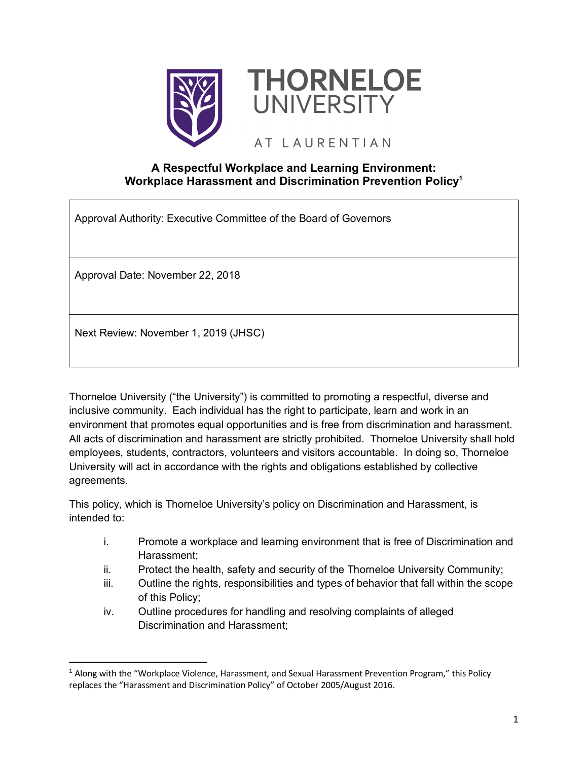



# AT LAURENTIAN

# **A Respectful Workplace and Learning Environment: Workplace Harassment and Discrimination Prevention Policy1**

Approval Authority: Executive Committee of the Board of Governors

Approval Date: November 22, 2018

Next Review: November 1, 2019 (JHSC)

Thorneloe University ("the University") is committed to promoting a respectful, diverse and inclusive community. Each individual has the right to participate, learn and work in an environment that promotes equal opportunities and is free from discrimination and harassment. All acts of discrimination and harassment are strictly prohibited. Thorneloe University shall hold employees, students, contractors, volunteers and visitors accountable. In doing so, Thorneloe University will act in accordance with the rights and obligations established by collective agreements.

This policy, which is Thorneloe University's policy on Discrimination and Harassment, is intended to:

- i. Promote a workplace and learning environment that is free of Discrimination and Harassment;
- ii. Protect the health, safety and security of the Thorneloe University Community;
- iii. Outline the rights, responsibilities and types of behavior that fall within the scope of this Policy;
- iv. Outline procedures for handling and resolving complaints of alleged Discrimination and Harassment;

 <sup>1</sup> Along with the "Workplace Violence, Harassment, and Sexual Harassment Prevention Program," this Policy replaces the "Harassment and Discrimination Policy" of October 2005/August 2016.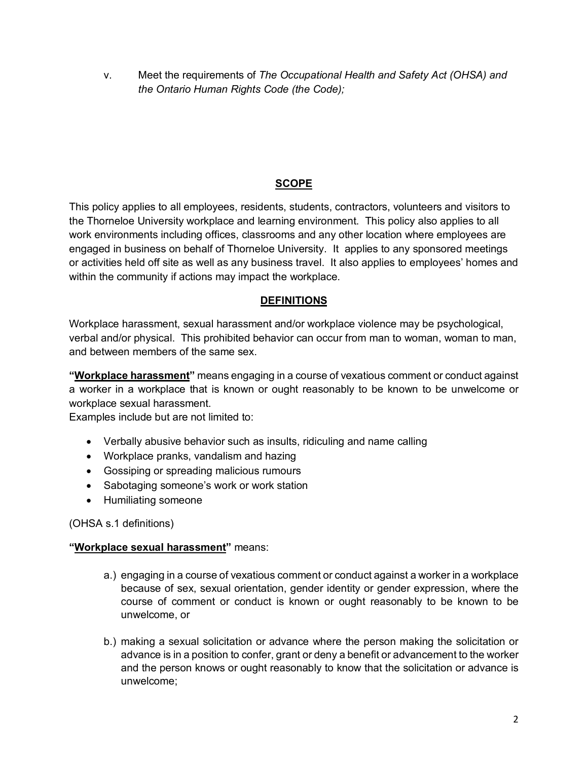v. Meet the requirements of *The Occupational Health and Safety Act (OHSA) and the Ontario Human Rights Code (the Code);*

# **SCOPE**

This policy applies to all employees, residents, students, contractors, volunteers and visitors to the Thorneloe University workplace and learning environment. This policy also applies to all work environments including offices, classrooms and any other location where employees are engaged in business on behalf of Thorneloe University. It applies to any sponsored meetings or activities held off site as well as any business travel. It also applies to employees' homes and within the community if actions may impact the workplace.

# **DEFINITIONS**

Workplace harassment, sexual harassment and/or workplace violence may be psychological, verbal and/or physical. This prohibited behavior can occur from man to woman, woman to man, and between members of the same sex.

**"Workplace harassment"** means engaging in a course of vexatious comment or conduct against a worker in a workplace that is known or ought reasonably to be known to be unwelcome or workplace sexual harassment.

Examples include but are not limited to:

- Verbally abusive behavior such as insults, ridiculing and name calling
- Workplace pranks, vandalism and hazing
- Gossiping or spreading malicious rumours
- Sabotaging someone's work or work station
- Humiliating someone

(OHSA s.1 definitions)

# **"Workplace sexual harassment"** means:

- a.) engaging in a course of vexatious comment or conduct against a worker in a workplace because of sex, sexual orientation, gender identity or gender expression, where the course of comment or conduct is known or ought reasonably to be known to be unwelcome, or
- b.) making a sexual solicitation or advance where the person making the solicitation or advance is in a position to confer, grant or deny a benefit or advancement to the worker and the person knows or ought reasonably to know that the solicitation or advance is unwelcome;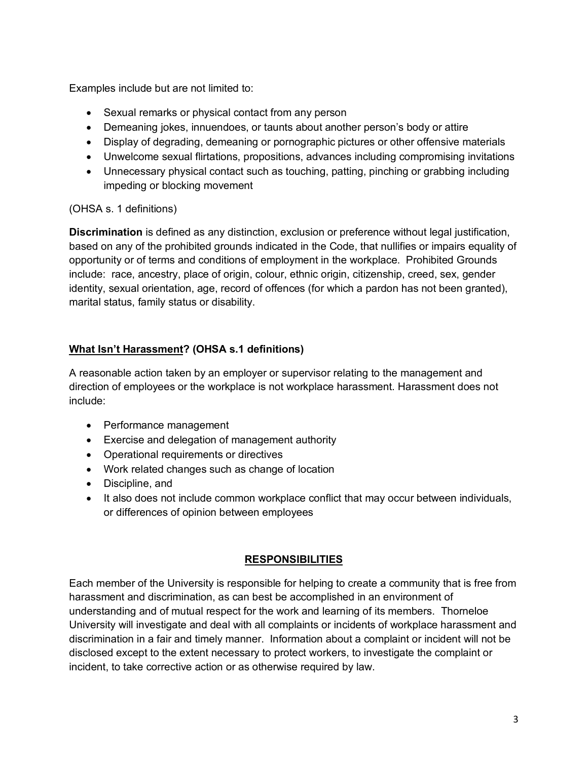Examples include but are not limited to:

- Sexual remarks or physical contact from any person
- Demeaning jokes, innuendoes, or taunts about another person's body or attire
- Display of degrading, demeaning or pornographic pictures or other offensive materials
- Unwelcome sexual flirtations, propositions, advances including compromising invitations
- Unnecessary physical contact such as touching, patting, pinching or grabbing including impeding or blocking movement

#### (OHSA s. 1 definitions)

**Discrimination** is defined as any distinction, exclusion or preference without legal justification, based on any of the prohibited grounds indicated in the Code, that nullifies or impairs equality of opportunity or of terms and conditions of employment in the workplace. Prohibited Grounds include: race, ancestry, place of origin, colour, ethnic origin, citizenship, creed, sex, gender identity, sexual orientation, age, record of offences (for which a pardon has not been granted), marital status, family status or disability.

# **What Isn't Harassment? (OHSA s.1 definitions)**

A reasonable action taken by an employer or supervisor relating to the management and direction of employees or the workplace is not workplace harassment. Harassment does not include:

- Performance management
- Exercise and delegation of management authority
- Operational requirements or directives
- Work related changes such as change of location
- Discipline, and
- It also does not include common workplace conflict that may occur between individuals, or differences of opinion between employees

#### **RESPONSIBILITIES**

Each member of the University is responsible for helping to create a community that is free from harassment and discrimination, as can best be accomplished in an environment of understanding and of mutual respect for the work and learning of its members. Thorneloe University will investigate and deal with all complaints or incidents of workplace harassment and discrimination in a fair and timely manner. Information about a complaint or incident will not be disclosed except to the extent necessary to protect workers, to investigate the complaint or incident, to take corrective action or as otherwise required by law.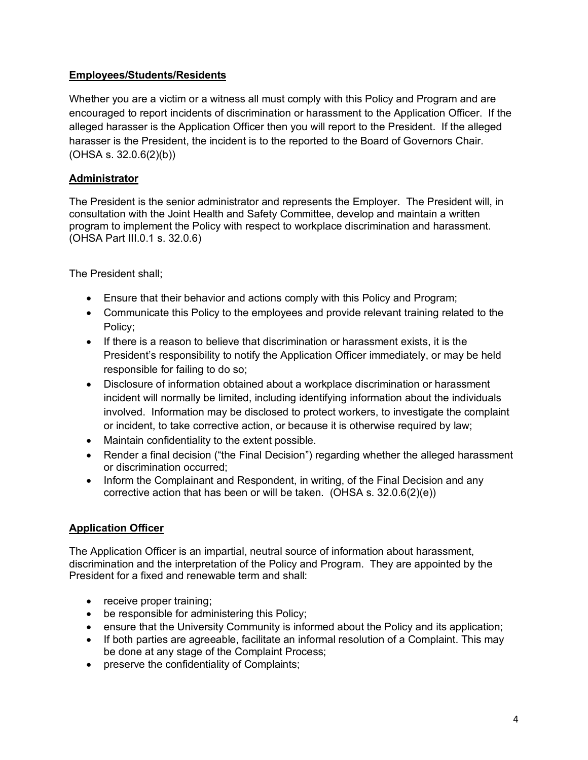# **Employees/Students/Residents**

Whether you are a victim or a witness all must comply with this Policy and Program and are encouraged to report incidents of discrimination or harassment to the Application Officer. If the alleged harasser is the Application Officer then you will report to the President. If the alleged harasser is the President, the incident is to the reported to the Board of Governors Chair. (OHSA s. 32.0.6(2)(b))

# **Administrator**

The President is the senior administrator and represents the Employer. The President will, in consultation with the Joint Health and Safety Committee, develop and maintain a written program to implement the Policy with respect to workplace discrimination and harassment. (OHSA Part III.0.1 s. 32.0.6)

The President shall;

- Ensure that their behavior and actions comply with this Policy and Program;
- Communicate this Policy to the employees and provide relevant training related to the Policy;
- If there is a reason to believe that discrimination or harassment exists, it is the President's responsibility to notify the Application Officer immediately, or may be held responsible for failing to do so;
- Disclosure of information obtained about a workplace discrimination or harassment incident will normally be limited, including identifying information about the individuals involved. Information may be disclosed to protect workers, to investigate the complaint or incident, to take corrective action, or because it is otherwise required by law;
- Maintain confidentiality to the extent possible.
- Render a final decision ("the Final Decision") regarding whether the alleged harassment or discrimination occurred;
- Inform the Complainant and Respondent, in writing, of the Final Decision and any corrective action that has been or will be taken. (OHSA s. 32.0.6(2)(e))

# **Application Officer**

The Application Officer is an impartial, neutral source of information about harassment, discrimination and the interpretation of the Policy and Program. They are appointed by the President for a fixed and renewable term and shall:

- receive proper training;
- be responsible for administering this Policy;
- ensure that the University Community is informed about the Policy and its application;
- If both parties are agreeable, facilitate an informal resolution of a Complaint. This may be done at any stage of the Complaint Process;
- preserve the confidentiality of Complaints;